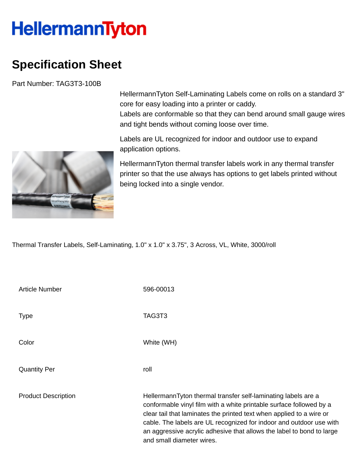## **HellermannTyton**

## **Specification Sheet**

Part Number: TAG3T3-100B

HellermannTyton Self-Laminating Labels come on rolls on a standard 3" core for easy loading into a printer or caddy.

Labels are conformable so that they can bend around small gauge wires and tight bends without coming loose over time.

Labels are UL recognized for indoor and outdoor use to expand application options.

HellermannTyton thermal transfer labels work in any thermal transfer printer so that the use always has options to get labels printed without being locked into a single vendor.

Thermal Transfer Labels, Self-Laminating, 1.0" x 1.0" x 3.75", 3 Across, VL, White, 3000/roll

| <b>Article Number</b>      | 596-00013                                                                                                                                                                                                                                                                                                                                                                                 |
|----------------------------|-------------------------------------------------------------------------------------------------------------------------------------------------------------------------------------------------------------------------------------------------------------------------------------------------------------------------------------------------------------------------------------------|
| <b>Type</b>                | TAG3T3                                                                                                                                                                                                                                                                                                                                                                                    |
| Color                      | White (WH)                                                                                                                                                                                                                                                                                                                                                                                |
| <b>Quantity Per</b>        | roll                                                                                                                                                                                                                                                                                                                                                                                      |
| <b>Product Description</b> | HellermannTyton thermal transfer self-laminating labels are a<br>conformable vinyl film with a white printable surface followed by a<br>clear tail that laminates the printed text when applied to a wire or<br>cable. The labels are UL recognized for indoor and outdoor use with<br>an aggressive acrylic adhesive that allows the label to bond to large<br>and small diameter wires. |

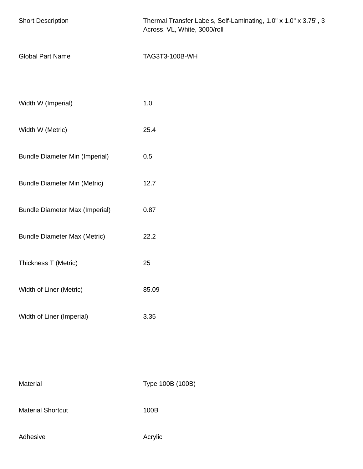| <b>Short Description</b>              | Thermal Transfer Labels, Self-Laminating, 1.0" x 1.0" x 3.75", 3<br>Across, VL, White, 3000/roll |
|---------------------------------------|--------------------------------------------------------------------------------------------------|
| <b>Global Part Name</b>               | TAG3T3-100B-WH                                                                                   |
|                                       |                                                                                                  |
| Width W (Imperial)                    | 1.0                                                                                              |
| Width W (Metric)                      | 25.4                                                                                             |
| <b>Bundle Diameter Min (Imperial)</b> | 0.5                                                                                              |
| <b>Bundle Diameter Min (Metric)</b>   | 12.7                                                                                             |
| <b>Bundle Diameter Max (Imperial)</b> | 0.87                                                                                             |
| <b>Bundle Diameter Max (Metric)</b>   | 22.2                                                                                             |
| Thickness T (Metric)                  | 25                                                                                               |
| Width of Liner (Metric)               | 85.09                                                                                            |
| Width of Liner (Imperial)             | 3.35                                                                                             |
|                                       |                                                                                                  |
|                                       |                                                                                                  |
| Material                              | Type 100B (100B)                                                                                 |

Material Shortcut 100B

Adhesive **Adhesive** Acrylic